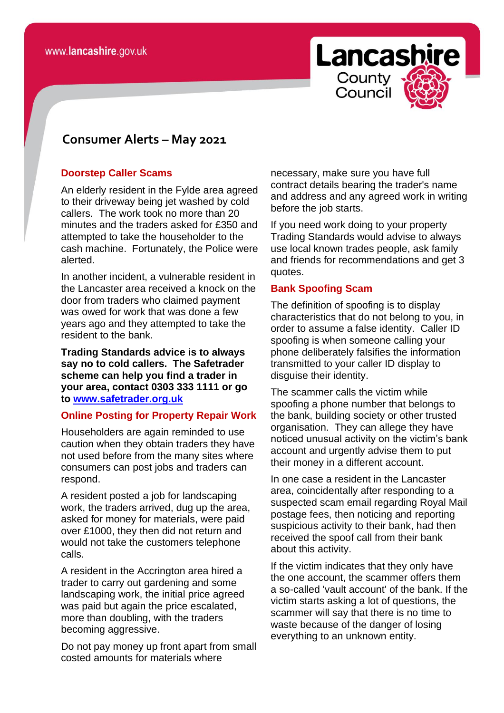

# **consomer Consumer Alerts – May 2021**

#### **Doorstep Caller Scams**

An elderly resident in the Fylde area agreed to their driveway being jet washed by cold callers. The work took no more than 20 minutes and the traders asked for £350 and attempted to take the householder to the cash machine. Fortunately, the Police were alerted.

In another incident, a vulnerable resident in the Lancaster area received a knock on the door from traders who claimed payment was owed for work that was done a few years ago and they attempted to take the resident to the bank.

**Trading Standards advice is to always say no to cold callers. The Safetrader scheme can help you find a trader in your area, contact 0303 333 1111 or go to [www.safetrader.org.uk](http://www.safetrader.org.uk/)**

### **Online Posting for Property Repair Work**

Householders are again reminded to use caution when they obtain traders they have not used before from the many sites where consumers can post jobs and traders can respond.

A resident posted a job for landscaping work, the traders arrived, dug up the area, asked for money for materials, were paid over £1000, they then did not return and would not take the customers telephone calls.

A resident in the Accrington area hired a trader to carry out gardening and some landscaping work, the initial price agreed was paid but again the price escalated, more than doubling, with the traders becoming aggressive.

Do not pay money up front apart from small costed amounts for materials where

necessary, make sure you have full contract details bearing the trader's name and address and any agreed work in writing before the job starts.

If you need work doing to your property Trading Standards would advise to always use local known trades people, ask family and friends for recommendations and get 3 quotes.

#### **Bank Spoofing Scam**

The definition of spoofing is to display characteristics that do not belong to you, in order to assume a false identity. Caller ID spoofing is when someone calling your phone deliberately falsifies the information transmitted to your caller ID display to disguise their identity.

The scammer calls the victim while spoofing a phone number that belongs to the bank, building society or other trusted organisation. They can allege they have noticed unusual activity on the victim's bank account and urgently advise them to put their money in a different account.

In one case a resident in the Lancaster area, coincidentally after responding to a suspected scam email regarding Royal Mail postage fees, then noticing and reporting suspicious activity to their bank, had then received the spoof call from their bank about this activity.

If the victim indicates that they only have the one account, the scammer offers them a so-called 'vault account' of the bank. If the victim starts asking a lot of questions, the scammer will say that there is no time to waste because of the danger of losing everything to an unknown entity.